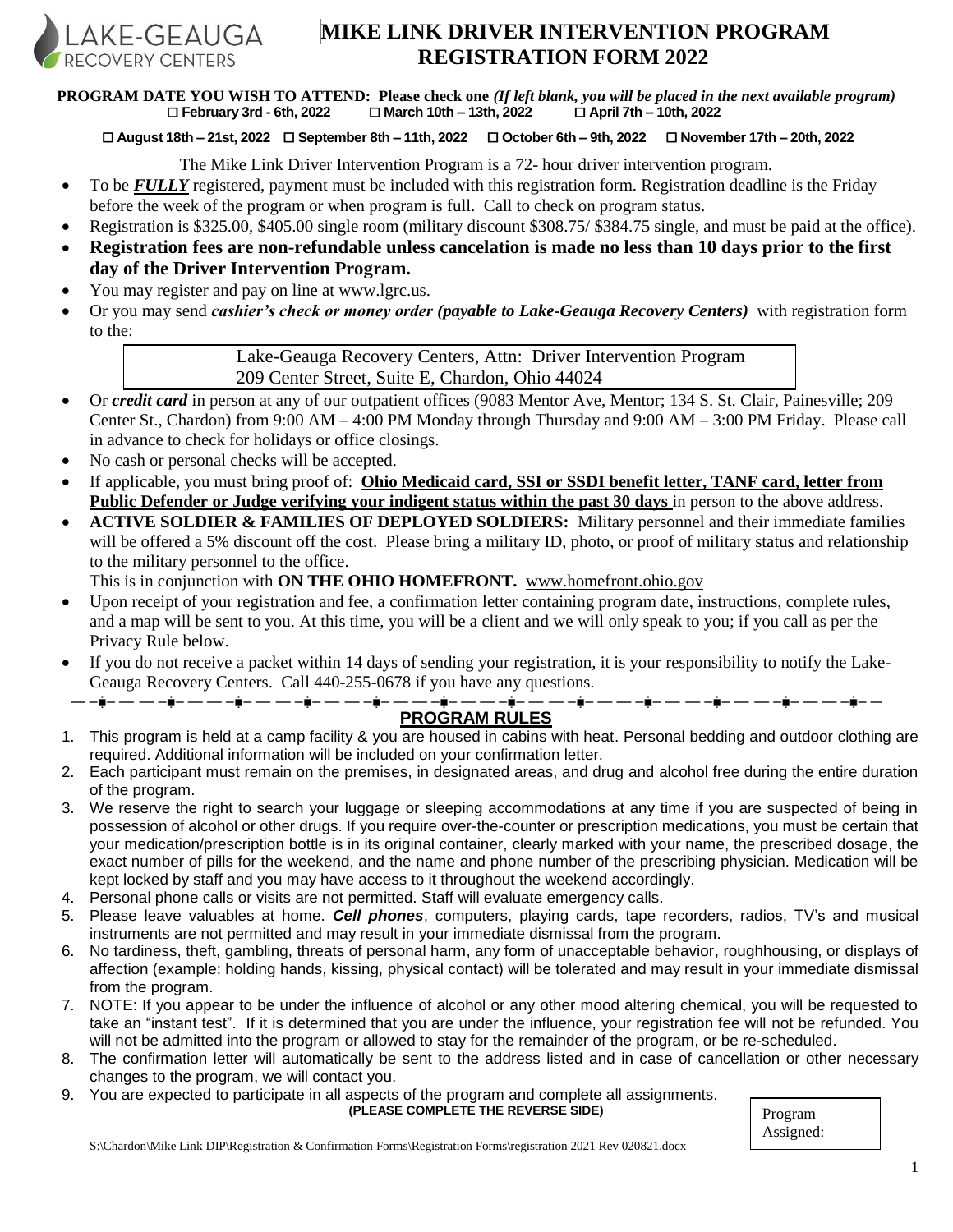

# **MIKE LINK DRIVER INTERVENTION PROGRAM REGISTRATION FORM 2022**

**PROGRAM DATE YOU WISH TO ATTEND: Please check one** *(If left blank, you will be placed in the next available program)* **February 3rd - 6th, 2022 March 10th – 13th, 2022 April 7th – 10th, 2022**

**August 18th – 21st, 2022 September 8th – 11th, 2022 October 6th – 9th, 2022 November 17th – 20th, 2022**

The Mike Link Driver Intervention Program is a 72- hour driver intervention program.

- To be *FULLY* registered, payment must be included with this registration form. Registration deadline is the Friday before the week of the program or when program is full. Call to check on program status.
- Registration is \$325.00, \$405.00 single room (military discount \$308.75/ \$384.75 single, and must be paid at the office).
- **Registration fees are non-refundable unless cancelation is made no less than 10 days prior to the first day of the Driver Intervention Program.**
- You may register and pay on line at www.lgrc.us.
- Or you may send *cashier's check or money order (payable to Lake-Geauga Recovery Centers)* with registration form to the:

Lake-Geauga Recovery Centers, Attn: Driver Intervention Program 209 Center Street, Suite E, Chardon, Ohio 44024

- Or *credit card* in person at any of our outpatient offices (9083 Mentor Ave, Mentor; 134 S. St. Clair, Painesville; 209 Center St., Chardon) from 9:00 AM – 4:00 PM Monday through Thursday and 9:00 AM – 3:00 PM Friday. Please call in advance to check for holidays or office closings.
- No cash or personal checks will be accepted.
- If applicable, you must bring proof of: **Ohio Medicaid card, SSI or SSDI benefit letter, TANF card, letter from Public Defender or Judge verifying your indigent status within the past 30 days** in person to the above address.
- **ACTIVE SOLDIER & FAMILIES OF DEPLOYED SOLDIERS:** Military personnel and their immediate families will be offered a 5% discount off the cost. Please bring a military ID, photo, or proof of military status and relationship to the military personnel to the office.

This is in conjunction with **ON THE OHIO HOMEFRONT.** www.homefront.ohio.gov

- Upon receipt of your registration and fee, a confirmation letter containing program date, instructions, complete rules, and a map will be sent to you. At this time, you will be a client and we will only speak to you; if you call as per the Privacy Rule below.
- If you do not receive a packet within 14 days of sending your registration, it is your responsibility to notify the Lake-Geauga Recovery Centers. Call 440-255-0678 if you have any questions.<br>—— $\dot{a}$ —— $\dot{a}$ —— $\dot{a}$ ——— $\dot{a}$ ——— $\dot{a}$ ——— $\dot{a}$ ——— $\dot{a}$ ——— $\dot{a}$ ——— $\dot{a}$ ——— $\dot{a}$ ——— $\dot{a}$ ——— $\dot{a}$ ——— $\dot{a}$ ——— $\dot{a}$ ——— $\dot{a}$ ———

# **PROGRAM RULES**

- 1. This program is held at a camp facility & you are housed in cabins with heat. Personal bedding and outdoor clothing are required. Additional information will be included on your confirmation letter.
- 2. Each participant must remain on the premises, in designated areas, and drug and alcohol free during the entire duration of the program.
- 3. We reserve the right to search your luggage or sleeping accommodations at any time if you are suspected of being in possession of alcohol or other drugs. If you require over-the-counter or prescription medications, you must be certain that your medication/prescription bottle is in its original container, clearly marked with your name, the prescribed dosage, the exact number of pills for the weekend, and the name and phone number of the prescribing physician. Medication will be kept locked by staff and you may have access to it throughout the weekend accordingly.
- 4. Personal phone calls or visits are not permitted. Staff will evaluate emergency calls.
- 5. Please leave valuables at home. *Cell phones*, computers, playing cards, tape recorders, radios, TV's and musical instruments are not permitted and may result in your immediate dismissal from the program.
- 6. No tardiness, theft, gambling, threats of personal harm, any form of unacceptable behavior, roughhousing, or displays of affection (example: holding hands, kissing, physical contact) will be tolerated and may result in your immediate dismissal from the program.
- 7. NOTE: If you appear to be under the influence of alcohol or any other mood altering chemical, you will be requested to take an "instant test". If it is determined that you are under the influence, your registration fee will not be refunded. You will not be admitted into the program or allowed to stay for the remainder of the program, or be re-scheduled.
- 8. The confirmation letter will automatically be sent to the address listed and in case of cancellation or other necessary changes to the program, we will contact you.
- 9. You are expected to participate in all aspects of the program and complete all assignments.

**(PLEASE COMPLETE THE REVERSE SIDE)**

| Program   |  |
|-----------|--|
| Assigned: |  |

S:\Chardon\Mike Link DIP\Registration & Confirmation Forms\Registration Forms\registration 2021 Rev 020821.docx